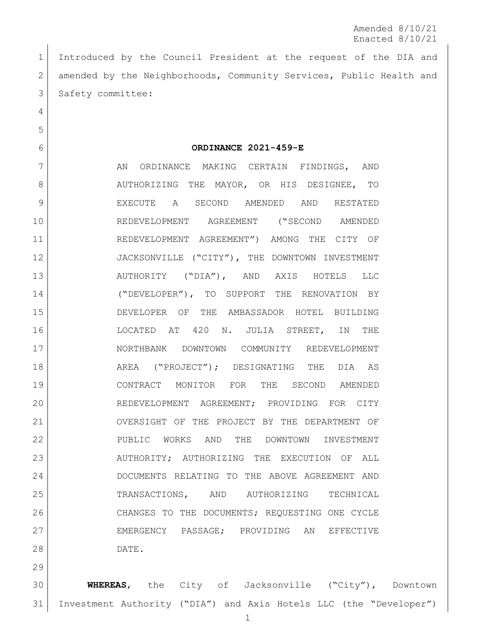Introduced by the Council President at the request of the DIA and 2 amended by the Neighborhoods, Community Services, Public Health and 3 Safety committee:

**ORDINANCE 2021-459-E**

7 AN ORDINANCE MAKING CERTAIN FINDINGS, AND 8 AUTHORIZING THE MAYOR, OR HIS DESIGNEE, TO EXECUTE A SECOND AMENDED AND RESTATED REDEVELOPMENT AGREEMENT ("SECOND AMENDED REDEVELOPMENT AGREEMENT") AMONG THE CITY OF 12 JACKSONVILLE ("CITY"), THE DOWNTOWN INVESTMENT AUTHORITY ("DIA"), AND AXIS HOTELS LLC ("DEVELOPER"), TO SUPPORT THE RENOVATION BY DEVELOPER OF THE AMBASSADOR HOTEL BUILDING LOCATED AT 420 N. JULIA STREET, IN THE NORTHBANK DOWNTOWN COMMUNITY REDEVELOPMENT AREA ("PROJECT"); DESIGNATING THE DIA AS CONTRACT MONITOR FOR THE SECOND AMENDED REDEVELOPMENT AGREEMENT; PROVIDING FOR CITY OVERSIGHT OF THE PROJECT BY THE DEPARTMENT OF PUBLIC WORKS AND THE DOWNTOWN INVESTMENT 23 AUTHORITY; AUTHORIZING THE EXECUTION OF ALL DOCUMENTS RELATING TO THE ABOVE AGREEMENT AND TRANSACTIONS, AND AUTHORIZING TECHNICAL 26 | CHANGES TO THE DOCUMENTS; REQUESTING ONE CYCLE EMERGENCY PASSAGE; PROVIDING AN EFFECTIVE DATE.

 **WHEREAS**, the City of Jacksonville ("City"), Downtown Investment Authority ("DIA") and Axis Hotels LLC (the "Developer")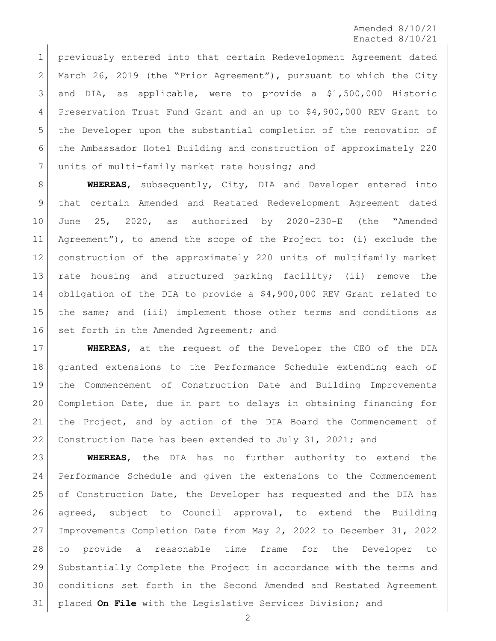previously entered into that certain Redevelopment Agreement dated 2 March 26, 2019 (the "Prior Agreement"), pursuant to which the City and DIA, as applicable, were to provide a \$1,500,000 Historic Preservation Trust Fund Grant and an up to \$4,900,000 REV Grant to the Developer upon the substantial completion of the renovation of the Ambassador Hotel Building and construction of approximately 220 7 units of multi-family market rate housing; and

 **WHEREAS**, subsequently, City, DIA and Developer entered into that certain Amended and Restated Redevelopment Agreement dated June 25, 2020, as authorized by 2020-230-E (the "Amended Agreement"), to amend the scope of the Project to: (i) exclude the construction of the approximately 220 units of multifamily market rate housing and structured parking facility; (ii) remove the obligation of the DIA to provide a \$4,900,000 REV Grant related to the same; and (iii) implement those other terms and conditions as 16 set forth in the Amended Agreement; and

 **WHEREAS**, at the request of the Developer the CEO of the DIA granted extensions to the Performance Schedule extending each of the Commencement of Construction Date and Building Improvements Completion Date, due in part to delays in obtaining financing for the Project, and by action of the DIA Board the Commencement of 22 Construction Date has been extended to July 31, 2021; and

 **WHEREAS**, the DIA has no further authority to extend the Performance Schedule and given the extensions to the Commencement 25 of Construction Date, the Developer has requested and the DIA has agreed, subject to Council approval, to extend the Building Improvements Completion Date from May 2, 2022 to December 31, 2022 to provide a reasonable time frame for the Developer to Substantially Complete the Project in accordance with the terms and conditions set forth in the Second Amended and Restated Agreement placed **On File** with the Legislative Services Division; and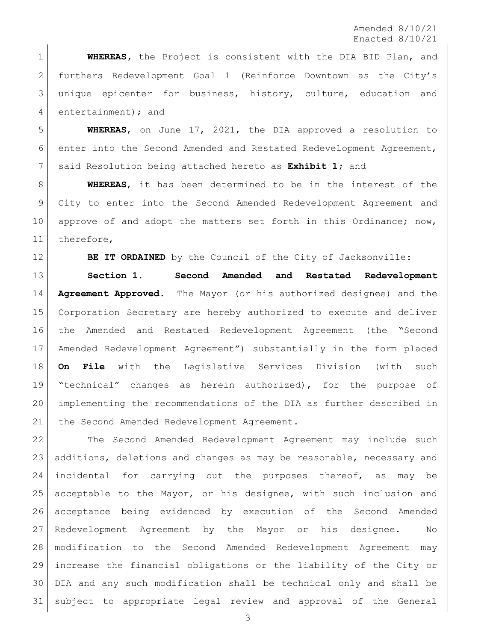**WHEREAS,** the Project is consistent with the DIA BID Plan, and furthers Redevelopment Goal 1 (Reinforce Downtown as the City's unique epicenter for business, history, culture, education and 4 entertainment); and

 **WHEREAS**, on June 17, 2021, the DIA approved a resolution to enter into the Second Amended and Restated Redevelopment Agreement, said Resolution being attached hereto as **Exhibit 1;** and

 **WHEREAS**, it has been determined to be in the interest of the City to enter into the Second Amended Redevelopment Agreement and 10 approve of and adopt the matters set forth in this Ordinance; now, therefore,

**BE IT ORDAINED** by the Council of the City of Jacksonville:

 **Section 1. Second Amended and Restated Redevelopment Agreement Approved.** The Mayor (or his authorized designee) and the Corporation Secretary are hereby authorized to execute and deliver the Amended and Restated Redevelopment Agreement (the "Second Amended Redevelopment Agreement") substantially in the form placed **On File** with the Legislative Services Division (with such "technical" changes as herein authorized), for the purpose of implementing the recommendations of the DIA as further described in 21 | the Second Amended Redevelopment Agreement.

 The Second Amended Redevelopment Agreement may include such additions, deletions and changes as may be reasonable, necessary and incidental for carrying out the purposes thereof, as may be acceptable to the Mayor, or his designee, with such inclusion and acceptance being evidenced by execution of the Second Amended Redevelopment Agreement by the Mayor or his designee. No modification to the Second Amended Redevelopment Agreement may increase the financial obligations or the liability of the City or DIA and any such modification shall be technical only and shall be subject to appropriate legal review and approval of the General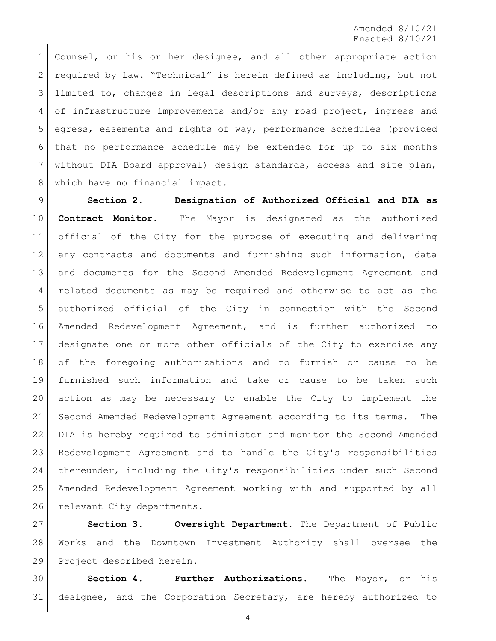Counsel, or his or her designee, and all other appropriate action required by law. "Technical" is herein defined as including, but not 3 limited to, changes in legal descriptions and surveys, descriptions 4 of infrastructure improvements and/or any road project, ingress and egress, easements and rights of way, performance schedules (provided that no performance schedule may be extended for up to six months without DIA Board approval) design standards, access and site plan, 8 which have no financial impact.

 **Section 2. Designation of Authorized Official and DIA as Contract Monitor.** The Mayor is designated as the authorized official of the City for the purpose of executing and delivering any contracts and documents and furnishing such information, data and documents for the Second Amended Redevelopment Agreement and related documents as may be required and otherwise to act as the authorized official of the City in connection with the Second Amended Redevelopment Agreement, and is further authorized to designate one or more other officials of the City to exercise any of the foregoing authorizations and to furnish or cause to be furnished such information and take or cause to be taken such action as may be necessary to enable the City to implement the Second Amended Redevelopment Agreement according to its terms. The DIA is hereby required to administer and monitor the Second Amended Redevelopment Agreement and to handle the City's responsibilities thereunder, including the City's responsibilities under such Second Amended Redevelopment Agreement working with and supported by all 26 relevant City departments.

 **Section 3. Oversight Department.** The Department of Public Works and the Downtown Investment Authority shall oversee the Project described herein.

 **Section 4. Further Authorizations.** The Mayor, or his designee, and the Corporation Secretary, are hereby authorized to